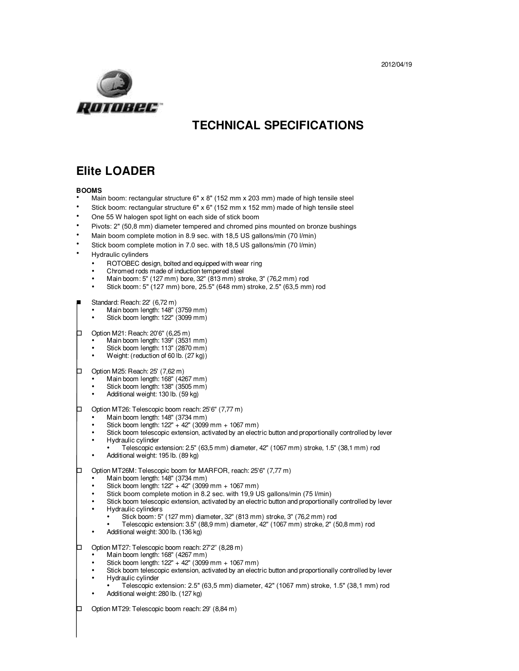

# **TECHNICAL SPECIFICATIONS**

# **Elite LOADER**

## **BOOMS**

- Main boom: rectangular structure 6" x 8" (152 mm x 203 mm) made of high tensile steel
- Stick boom: rectangular structure 6" x 6" (152 mm x 152 mm) made of high tensile steel
- One 55 W halogen spot light on each side of stick boom
- Pivots: 2" (50,8 mm) diameter tempered and chromed pins mounted on bronze bushings
- Main boom complete motion in 8.9 sec. with 18,5 US gallons/min (70 l/min)
- Stick boom complete motion in 7.0 sec. with 18,5 US gallons/min (70 l/min)
- Hydraulic cylinders
	- ROTOBEC design, bolted and equipped with wear ring
	- Chromed rods made of induction tempered steel
	- Main boom: 5" (127 mm) bore, 32" (813 mm) stroke, 3" (76,2 mm) rod
	- Stick boom: 5" (127 mm) bore, 25.5" (648 mm) stroke, 2.5" (63,5 mm) rod
- Standard: Reach: 22' (6,72 m)
	- Main boom length: 148" (3759 mm)
	- Stick boom length: 122" (3099 mm)
- $\Box$  Option M21: Reach: 20'6" (6,25 m)
	- Main boom length: 139" (3531 mm)
	- Stick boom length: 113" (2870 mm)
	- Weight: (reduction of 60 lb. (27 kg))
- $\Box$  Option M25: Reach: 25' (7,62 m)
	- Main boom length: 168" (4267 mm)
	- Stick boom length: 138" (3505 mm)
	- Additional weight: 130 lb. (59 kg)
- $\Box$  Option MT26: Telescopic boom reach: 25'6" (7,77 m)
	- Main boom length: 148" (3734 mm)
	- Stick boom length:  $122" + 42"$  (3099 mm + 1067 mm)
	- Stick boom telescopic extension, activated by an electric button and proportionally controlled by lever • Hydraulic cylinder
	- Telescopic extension: 2.5" (63,5 mm) diameter, 42" (1067 mm) stroke, 1.5" (38,1 mm) rod • Additional weight: 195 lb. (89 kg)
	-

# Option MT26M: Telescopic boom for MARFOR, reach: 25'6" (7,77 m)

- Main boom length: 148" (3734 mm)
- Stick boom length:  $122" + 42"$  (3099 mm + 1067 mm)
- Stick boom complete motion in 8.2 sec. with 19,9 US gallons/min (75 l/min)
- Stick boom telescopic extension, activated by an electric button and proportionally controlled by lever
- Hydraulic cylinders
	- Stick boom: 5" (127 mm) diameter, 32" (813 mm) stroke, 3" (76,2 mm) rod
	- Telescopic extension: 3.5" (88,9 mm) diameter, 42" (1067 mm) stroke, 2" (50,8 mm) rod
- Additional weight: 300 lb. (136 kg)
- □ Option MT27: Telescopic boom reach: 27'2" (8,28 m)
	- Main boom length: 168" (4267 mm)
	- Stick boom length: 122" + 42" (3099 mm + 1067 mm)
	- Stick boom telescopic extension, activated by an electric button and proportionally controlled by lever
	- Hydraulic cylinder
	- Telescopic extension: 2.5" (63,5 mm) diameter, 42" (1067 mm) stroke, 1.5" (38,1 mm) rod
	- Additional weight: 280 lb. (127 kg)
- $\square$  Option MT29: Telescopic boom reach: 29' (8,84 m)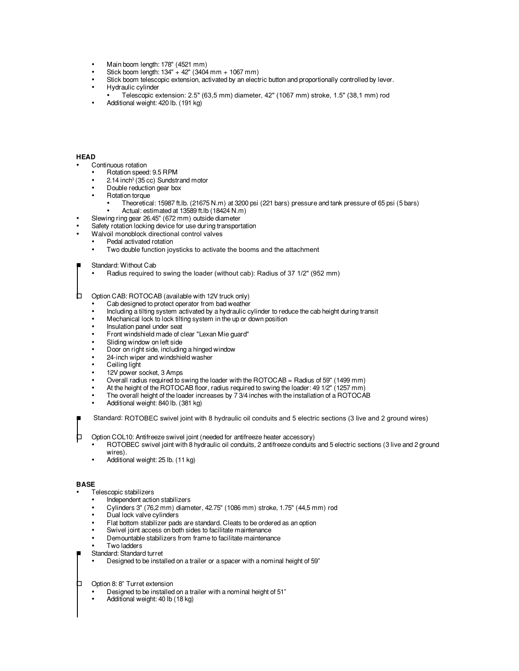- Main boom length: 178" (4521 mm)
- Stick boom length: 134" + 42" (3404 mm + 1067 mm)
- Stick boom telescopic extension, activated by an electric button and proportionally controlled by lever.
- Hydraulic cylinder
- Telescopic extension: 2.5" (63,5 mm) diameter, 42" (1067 mm) stroke, 1.5" (38,1 mm) rod
- Additional weight: 420 lb. (191 kg)

### **HEAD**

- Continuous rotation
	- Rotation speed: 9.5 RPM
	- 2.14 inch<sup>3</sup> (35 cc) Sundstrand motor
	- Double reduction gear box
	- **Rotation torque** 
		- Theoretical: 15987 ft.lb. (21675 N.m) at 3200 psi (221 bars) pressure and tank pressure of 65 psi (5 bars) • Actual: estimated at 13589 ft.lb (18424 N.m)
	- Slewing ring gear 26.45" (672 mm) outside diameter
- Safety rotation locking device for use during transportation
- Walvoil monoblock directional control valves
	- Pedal activated rotation
	- Two double function joysticks to activate the booms and the attachment

#### Standard: Without Cab

• Radius required to swing the loader (without cab): Radius of 37 1/2" (952 mm)

 $\Box$  Option CAB: ROTOCAB (available with 12V truck only)

- Cab designed to protect operator from bad weather
- Including a tilting system activated by a hydraulic cylinder to reduce the cab height during transit
- Mechanical lock to lock tilting system in the up or down position
- Insulation panel under seat
- Front windshield made of clear "Lexan Mie guard"
- Sliding window on left side
- Door on right side, including a hinged window
- 24-inch wiper and windshield washer
- Ceiling light
- 12V power socket, 3 Amps
- Overall radius required to swing the loader with the ROTOCAB = Radius of 59" (1499 mm)
- At the height of the ROTOCAB floor, radius required to swing the loader: 49 1/2" (1257 mm)
- The overall height of the loader increases by 7 3/4 inches with the installation of a ROTOCAB
- Additional weight: 840 lb. (381 kg)

Standard: ROTOBEC swivel joint with 8 hydraulic oil conduits and 5 electric sections (3 live and 2 ground wires)

 $\Box$  Option COL10: Antifreeze swivel joint (needed for antifreeze heater accessory)

- ROTOBEC swivel joint with 8 hydraulic oil conduits, 2 antifreeze conduits and 5 electric sections (3 live and 2 ground wires).
- Additional weight: 25 lb. (11 kg)

#### **BASE**

• Telescopic stabilizers

- Independent action stabilizers
- Cylinders 3" (76,2 mm) diameter, 42.75" (1086 mm) stroke, 1.75" (44,5 mm) rod
- Dual lock valve cylinders
- Flat bottom stabilizer pads are standard. Cleats to be ordered as an option
- Swivel joint access on both sides to facilitate maintenance
- Demountable stabilizers from frame to facilitate maintenance
- **Two ladders**
- Standard: Standard turret
	- Designed to be installed on a trailer or a spacer with a nominal height of 59"

Option 8: 8" Turret extension

- Designed to be installed on a trailer with a nominal height of 51"<br>
Additional weight: 40 lb (18 kg)
- Additional weight: 40 lb (18 kg)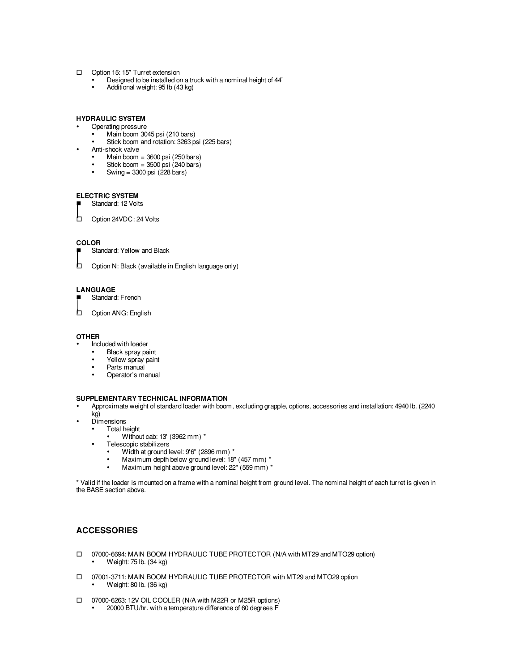# Option 15: 15" Turret extension

- Designed to be installed on a truck with a nominal height of  $44$ "<br>
Additional woight: 95 lb  $(42 \text{ kg})$
- Additional weight: 95 lb (43 kg)

# **HYDRAULIC SYSTEM**

- Operating pressure
- Main boom 3045 psi (210 bars)
- Stick boom and rotation: 3263 psi (225 bars)
- Anti-shock valve
	- Main boom  $=$  3600 psi (250 bars)
	- Stick boom =  $3500$  psi (240 bars) Swing =  $3300$  psi (228 bars)
	-

# **ELECTRIC SYSTEM**

Standard: 12 Volts

Option 24VDC: 24 Volts

### **COLOR**

Standard: Yellow and Black

 $\Box$  Option N: Black (available in English language only)

## **LANGUAGE**

- Standard: French
- Option ANG: English

### **OTHER**

- Included with loader
- Black spray paint
- Yellow spray paint<br>• Parts manual
- Parts manual
- Operator's manual

### **SUPPLEMENTARY TECHNICAL INFORMATION**

- Approximate weight of standard loader with boom, excluding grapple, options, accessories and installation: 4940 lb. (2240 kg)
- Dimensions<br>• Total be
	- Total height
		- Without cab: 13' (3962 mm) \*
	- Telescopic stabilizers
		- Width at ground level: 9'6" (2896 mm) \*
		- Maximum depth below ground level: 18" (457 mm) \*
		- Maximum height above ground level: 22" (559 mm) \*

\* Valid if the loader is mounted on a frame with a nominal height from ground level. The nominal height of each turret is given in the BASE section above.

# **ACCESSORIES**

- 07000-6694: MAIN BOOM HYDRAULIC TUBE PROTECTOR (N/A with MT29 and MTO29 option) • Weight: 75 lb. (34 kg)
- 07001-3711: MAIN BOOM HYDRAULIC TUBE PROTECTOR with MT29 and MTO29 option • Weight: 80 lb. (36 kg)
- 07000-6263: 12V OIL COOLER (N/A with M22R or M25R options)
	- 20000 BTU/hr. with a temperature difference of 60 degrees F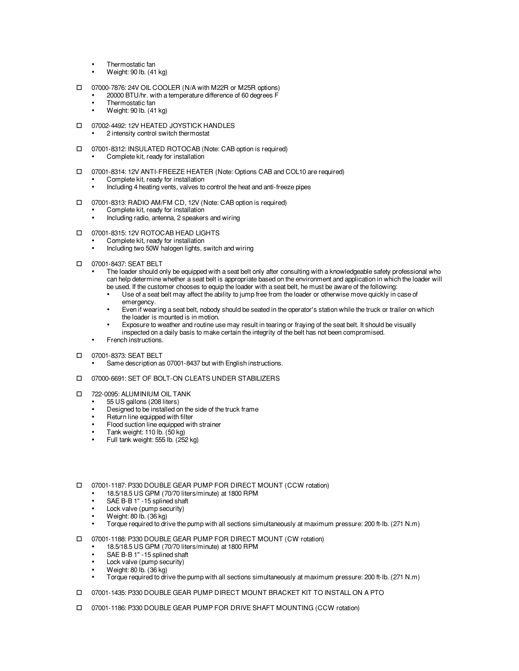- Thermostatic fan
- Weight: 90 lb. (41 kg)
- 07000-7876: 24V OIL COOLER (N/A with M22R or M25R options)
	- 20000 BTU/hr. with a temperature difference of 60 degrees F
	- Thermostatic fan
	- Weight: 90 lb. (41 kg)
- O7002-4492: 12V HEATED JOYSTICK HANDLES
	- 2 intensity control switch thermostat
- 07001-8312: INSULATED ROTOCAB (Note: CAB option is required)
	- Complete kit, ready for installation
- 07001-8314: 12V ANTI-FREEZE HEATER (Note: Options CAB and COL10 are required)
	- Complete kit, ready for installation
	- Including 4 heating vents, valves to control the heat and anti-freeze pipes
- 07001-8313: RADIO AM/FM CD, 12V (Note: CAB option is required)
	- Complete kit, ready for installation
	- Including radio, antenna, 2 speakers and wiring
- O7001-8315: 12V ROTOCAB HEAD LIGHTS
	- Complete kit, ready for installation
	- Including two 50W halogen lights, switch and wiring
- 07001-8437: SEAT BELT
	- The loader should only be equipped with a seat belt only after consulting with a knowledgeable safety professional who can help determine whether a seat belt is appropriate based on the environment and application in which the loader will be used. If the customer chooses to equip the loader with a seat belt, he must be aware of the following:
		- Use of a seat belt may affect the ability to jump free from the loader or otherwise move quickly in case of emergency.
		- Even if wearing a seat belt, nobody should be seated in the operator's station while the truck or trailer on which the loader is mounted is in motion.
		- Exposure to weather and routine use may result in tearing or fraying of the seat belt. It should be visually inspected on a daily basis to make certain the integrity of the belt has not been compromised.
	- French instructions.
- 07001-8373: SEAT BELT
	- Same description as 07001-8437 but with English instructions.
- 07000-6691: SET OF BOLT-ON CLEATS UNDER STABILIZERS
- T 722-0095: ALUMINIUM OIL TANK
	- 55 US gallons (208 liters)
	- Designed to be installed on the side of the truck frame
	- Return line equipped with filter
	- Flood suction line equipped with strainer
	- Tank weight: 110 lb. (50 kg)
	- Full tank weight: 555 lb. (252 kg)
- □ 07001-1187: P330 DOUBLE GEAR PUMP FOR DIRECT MOUNT (CCW rotation)
	- 18.5/18.5 US GPM  $(70/70$  liters/minute) at 1800 RPM<br>• SAE B-B 1" 15 splined shaft
	- SAE B-B 1" -15 splined shaft
	- Lock valve (pump security)<br>•  $W \circ \phi h : R_0 \circ R_1 \circ R_2$
	- Weight: 80 lb. (36 kg)
	- Torque required to drive the pump with all sections simultaneously at maximum pressure: 200 ft-lb. (271 N.m)
- 07001-1188: P330 DOUBLE GEAR PUMP FOR DIRECT MOUNT (CW rotation)
	- 18.5/18.5 US GPM (70/70 liters/minute) at 1800 RPM
	- SAE B-B 1" 15 splined shaft
	- Lock valve (pump security)
	- Weight: 80 lb. (36 kg)
	- Torque required to drive the pump with all sections simultaneously at maximum pressure: 200 ft-lb. (271 N.m)
- 07001-1435: P330 DOUBLE GEAR PUMP DIRECT MOUNT BRACKET KIT TO INSTALL ON A PTO
- 07001-1186: P330 DOUBLE GEAR PUMP FOR DRIVE SHAFT MOUNTING (CCW rotation)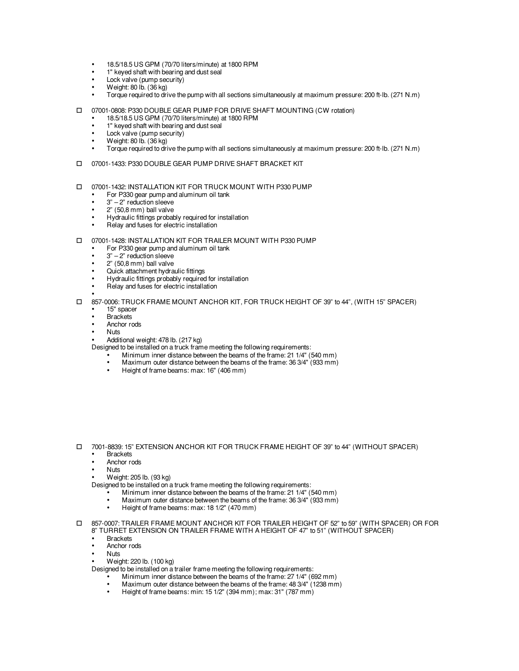- 18.5/18.5 US GPM (70/70 liters/minute) at 1800 RPM
- $1$ " keyed shaft with bearing and dust seal
- Lock valve (pump security)
- Weight: 80 lb. (36 kg)
- Torque required to drive the pump with all sections simultaneously at maximum pressure: 200 ft-lb. (271 N.m)
- 07001-0808: P330 DOUBLE GEAR PUMP FOR DRIVE SHAFT MOUNTING (CW rotation)
	- 18.5/18.5 US GPM (70/70 liters/minute) at 1800 RPM
	- 1" keyed shaft with bearing and dust seal
	- Lock valve (pump security)
	- Weight: 80 lb. (36 kg)
	- Torque required to drive the pump with all sections simultaneously at maximum pressure: 200 ft-lb. (271 N.m)
- 07001-1433: P330 DOUBLE GEAR PUMP DRIVE SHAFT BRACKET KIT
- 07001-1432: INSTALLATION KIT FOR TRUCK MOUNT WITH P330 PUMP
	- For P330 gear pump and aluminum oil tank
	- $3" 2"$  reduction sleeve
	- 2" (50,8 mm) ball valve
	- Hydraulic fittings probably required for installation
	- Relay and fuses for electric installation
- 07001-1428: INSTALLATION KIT FOR TRAILER MOUNT WITH P330 PUMP
	- For P330 gear pump and aluminum oil tank
	- $3" 2"$  reduction sleeve
	- 2" (50,8 mm) ball valve
	- Quick attachment hydraulic fittings
	- Hydraulic fittings probably required for installation
	- Relay and fuses for electric installation
- 857-0006: TRUCK FRAME MOUNT ANCHOR KIT, FOR TRUCK HEIGHT OF 39" to 44", (WITH 15" SPACER)
	- 15" spacer • Brackets
	-
	- Anchor rods
	- Nuts
	- Additional weight: 478 lb. (217 kg)
	- Designed to be installed on a truck frame meeting the following requirements:
		- Minimum inner distance between the beams of the frame: 21 1/4" (540 mm)<br>• Maximum outer distance between the beams of the frame: 36 3/4" (933 mm)
		- Maximum outer distance between the beams of the frame: 36 3/4" (933 mm)
		- Height of frame beams: max: 16" (406 mm)

- 7001-8839: 15" EXTENSION ANCHOR KIT FOR TRUCK FRAME HEIGHT OF 39" to 44" (WITHOUT SPACER) **Brackets** 
	- Anchor rods
	- Nuts
		- Weight: 205 lb. (93 kg)
	- Designed to be installed on a truck frame meeting the following requirements:
		- Minimum inner distance between the beams of the frame: 21 1/4" (540 mm)<br>• Maximum outer distance between the beams of the frame: 36 3/4" (933 mm)
		- Maximum outer distance between the beams of the frame: 36 3/4" (933 mm)
		- Height of frame beams: max: 18 1/2" (470 mm)
- 857-0007: TRAILER FRAME MOUNT ANCHOR KIT FOR TRAILER HEIGHT OF 52" to 59" (WITH SPACER) OR FOR 8" TURRET EXTENSION ON TRAILER FRAME WITH A HEIGHT OF 47" to 51" (WITHOUT SPACER)
	- **Brackets**
	- Anchor rods
	- Nuts
	- Weight: 220 lb. (100 kg)
	- Designed to be installed on a trailer frame meeting the following requirements:
		- Minimum inner distance between the beams of the frame: 27 1/4" (692 mm)
		- Maximum outer distance between the beams of the frame:  $48.3/4$ <sup>"</sup> (1238 mm)<br>• Height of frame beams: min: 15.1/2<sup>"</sup> (394 mm); max: 31" (787 mm)
		- Height of frame beams: min: 15 1/2" (394 mm); max: 31" (787 mm)